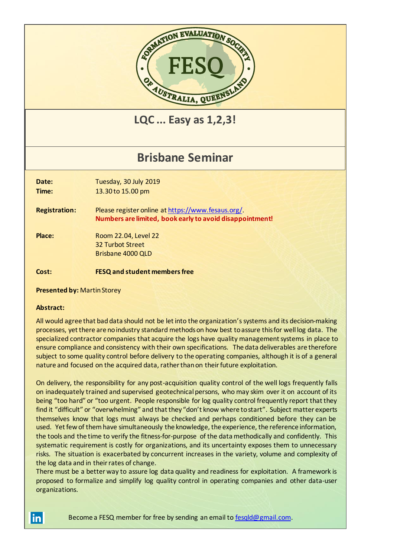

**LQC ... Easy as 1,2,3!**

## **Brisbane Seminar**

**Date:** Tuesday, 30 July 2019 **Time:** 13.30 to 15.00 pm

**Registration:** Please register online a[t https://www.fesaus.org/.](https://www.fesaus.org/) **Numbers are limited, book early to avoid disappointment!**

**Place:** Room 22.04, Level 22 32 Turbot Street Brisbane 4000 QLD

**Cost: FESQ and student members free**

**Presented by:** Martin Storey

## **Abstract:**

<u>inl</u>

All would agree that bad data should not be let into the organization's systems and its decision-making processes, yet there are no industry standard methods on how best to assure this for well log data. The specialized contractor companies that acquire the logs have quality management systems in place to ensure compliance and consistency with their own specifications. The data deliverables are therefore subject to some quality control before delivery to the operating companies, although it is of a general nature and focused on the acquired data, rather than on their future exploitation.

On delivery, the responsibility for any post-acquisition quality control of the well logs frequently falls on inadequately trained and supervised geotechnical persons, who may skim over it on account of its being "too hard" or "too urgent. People responsible for log quality control frequently report that they find it "difficult" or "overwhelming" and that they "don't know where to start". Subject matter experts themselves know that logs must always be checked and perhaps conditioned before they can be used. Yet few of them have simultaneously the knowledge, the experience, the reference information, the tools and the time to verify the fitness-for-purpose of the data methodically and confidently. This systematic requirement is costly for organizations, and its uncertainty exposes them to unnecessary risks. The situation is exacerbated by concurrent increases in the variety, volume and complexity of the log data and in their rates of change.

There must be a better way to assure log data quality and readiness for exploitation. A framework is proposed to formalize and simplify log quality control in operating companies and other data-user organizations.

Become a FESQ member for free by sending an email to [fesqld@gmail.com.](mailto:fesqld@gmail.com)